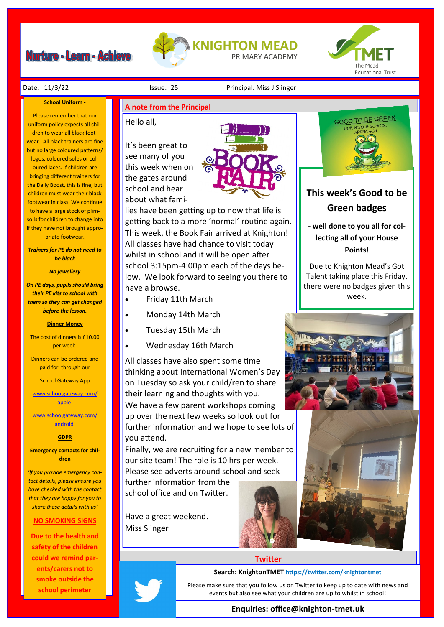## **Nurture - Learn - Achieve**





#### **School Uniform -**

Please remember that our uniform policy expects all children to wear all black footwear. All black trainers are fine but no large coloured patterns/ logos, coloured soles or coloured laces. If children are bringing different trainers for the Daily Boost, this is fine, but children must wear their black footwear in class. We continue to have a large stock of plimsolls for children to change into if they have not brought appropriate footwear.

*Trainers for PE do not need to be black*

*No jewellery* 

*On PE days, pupils should bring their PE kits to school with them so they can get changed before the lesson.*

### **Dinner Money**

The cost of dinners is £10.00 per week.

Dinners can be ordered and paid for through our

School Gateway App

[www.schoolgateway.com/](http://www.schoolgateway.com/apple) [apple](http://www.schoolgateway.com/apple)

[www.schoolgateway.com/](http://www.schoolgateway.com/android) [android](http://www.schoolgateway.com/android)

## **GDPR**

**Emergency contacts for children**

*'If you provide emergency contact details, please ensure you have checked with the contact that they are happy for you to share these details with us'*

## **NO SMOKING SIGNS**

**Due to the health and safety of the children could we remind parents/carers not to smoke outside the school perimeter** 

## **A note from the Principal**

## Hello all,

It's been great to see many of you this week when on the gates around school and hear about what fami-



lies have been getting up to now that life is getting back to a more 'normal' routine again. This week, the Book Fair arrived at Knighton! All classes have had chance to visit today whilst in school and it will be open after school 3:15pm-4:00pm each of the days below. We look forward to seeing you there to have a browse.

- Friday 11th March
- Monday 14th March
- Tuesday 15th March
- Wednesday 16th March

All classes have also spent some time thinking about International Women's Day on Tuesday so ask your child/ren to share their learning and thoughts with you. We have a few parent workshops coming up over the next few weeks so look out for further information and we hope to see lots of you attend.

Finally, we are recruiting for a new member to our site team! The role is 10 hrs per week. Please see adverts around school and seek

further information from the school office and on Twitter.

Have a great weekend. Miss Slinger





## **This week's Good to be Green badges**

**- well done to you all for collecting all of your House Points!**

Due to Knighton Mead's Got Talent taking place this Friday, there were no badges given this week.



## **Twitter**

### **Search: KnightonTMET https://twitter.com/knightontmet**

Please make sure that you follow us on Twitter to keep up to date with news and events but also see what your children are up to whilst in school!

## **Enquiries: office@knighton-tmet.uk**